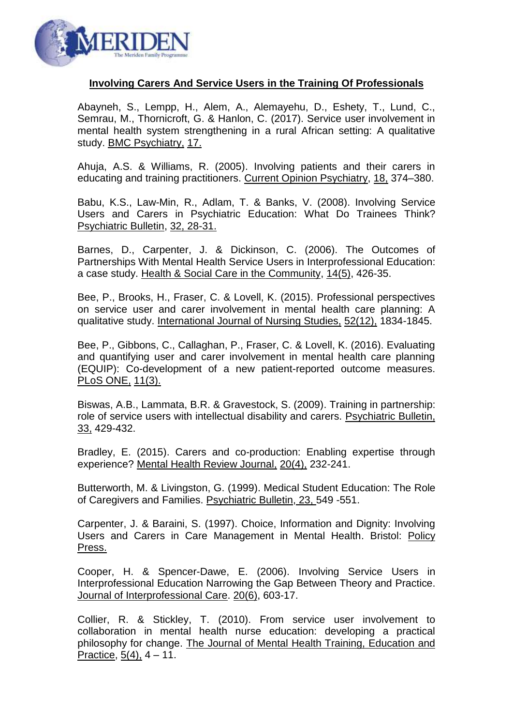

## **Involving Carers And Service Users in the Training Of Professionals**

Abayneh, S., Lempp, H., Alem, A., Alemayehu, D., Eshety, T., Lund, C., Semrau, M., Thornicroft, G. & Hanlon, C. (2017). Service user involvement in mental health system strengthening in a rural African setting: A qualitative study. BMC Psychiatry, 17.

Ahuja, A.S. & Williams, R. (2005). Involving patients and their carers in educating and training practitioners. Current Opinion Psychiatry, 18, 374–380.

Babu, K.S., Law-Min, R., Adlam, T. & Banks, V. (2008). Involving Service Users and Carers in Psychiatric Education: What Do Trainees Think? Psychiatric Bulletin, 32, 28-31.

Barnes, D., Carpenter, J. & Dickinson, C. (2006). The Outcomes of Partnerships With Mental Health Service Users in Interprofessional Education: a case study. Health & Social Care in the Community, 14(5), 426-35.

Bee, P., Brooks, H., Fraser, C. & Lovell, K. (2015). Professional perspectives on service user and carer involvement in mental health care planning: A qualitative study. International Journal of Nursing Studies, 52(12), 1834-1845.

Bee, P., Gibbons, C., Callaghan, P., Fraser, C. & Lovell, K. (2016). Evaluating and quantifying user and carer involvement in mental health care planning (EQUIP): Co-development of a new patient-reported outcome measures. PLoS ONE, 11(3).

Biswas, A.B., Lammata, B.R. & Gravestock, S. (2009). Training in partnership: role of service users with intellectual disability and carers. Psychiatric Bulletin, 33, 429-432.

Bradley, E. (2015). Carers and co-production: Enabling expertise through experience? Mental Health Review Journal, 20(4), 232-241.

Butterworth, M. & Livingston, G. (1999). Medical Student Education: The Role of Caregivers and Families. Psychiatric Bulletin, 23, 549 -551.

Carpenter, J. & Baraini, S. (1997). Choice, Information and Dignity: Involving Users and Carers in Care Management in Mental Health. Bristol: Policy Press.

Cooper, H. & Spencer-Dawe, E. (2006). Involving Service Users in Interprofessional Education Narrowing the Gap Between Theory and Practice. Journal of Interprofessional Care. 20(6), 603-17.

Collier, R. & Stickley, T. (2010). From service user involvement to collaboration in mental health nurse education: developing a practical philosophy for change. The Journal of Mental Health Training, Education and Practice, 5(4), 4 – 11.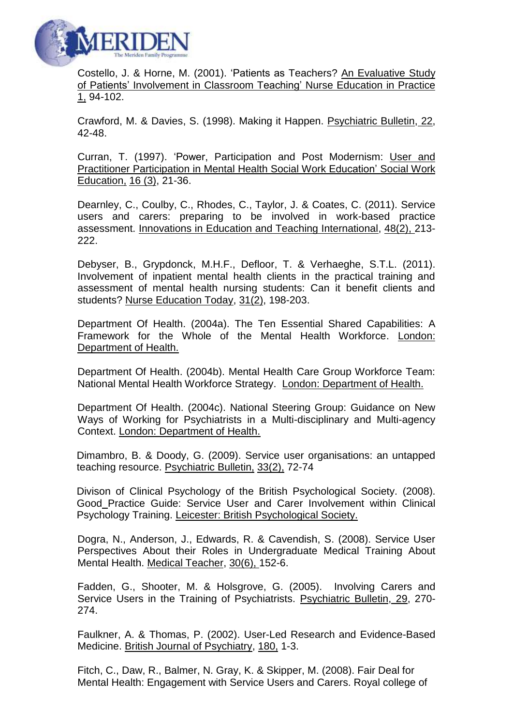

Costello, J. & Horne, M. (2001). 'Patients as Teachers? An Evaluative Study of Patients' Involvement in Classroom Teaching' Nurse Education in Practice 1, 94-102.

Crawford, M. & Davies, S. (1998). Making it Happen. Psychiatric Bulletin, 22, 42-48.

Curran, T. (1997). 'Power, Participation and Post Modernism: User and Practitioner Participation in Mental Health Social Work Education' Social Work Education, 16 (3), 21-36.

Dearnley, C., Coulby, C., Rhodes, C., Taylor, J. & Coates, C. (2011). Service users and carers: preparing to be involved in work-based practice assessment. Innovations in Education and Teaching International, 48(2), 213- 222.

Debyser, B., Grypdonck, M.H.F., Defloor, T. & Verhaeghe, S.T.L. (2011). Involvement of inpatient mental health clients in the practical training and assessment of mental health nursing students: Can it benefit clients and students? Nurse Education Today, 31(2), 198-203.

Department Of Health. (2004a). The Ten Essential Shared Capabilities: A Framework for the Whole of the Mental Health Workforce. London: Department of Health.

Department Of Health. (2004b). Mental Health Care Group Workforce Team: National Mental Health Workforce Strategy. London: Department of Health.

Department Of Health. (2004c). National Steering Group: Guidance on New Ways of Working for Psychiatrists in a Multi-disciplinary and Multi-agency Context. London: Department of Health.

Dimambro, B. & Doody, G. (2009). Service user organisations: an untapped teaching resource. Psychiatric Bulletin, 33(2), 72-74

Divison of Clinical Psychology of the British Psychological Society. (2008). Good Practice Guide: Service User and Carer Involvement within Clinical Psychology Training. Leicester: British Psychological Society.

Dogra, N., Anderson, J., Edwards, R. & Cavendish, S. (2008). Service User Perspectives About their Roles in Undergraduate Medical Training About Mental Health. Medical Teacher, 30(6), 152-6.

Fadden, G., Shooter, M. & Holsgrove, G. (2005). Involving Carers and Service Users in the Training of Psychiatrists. Psychiatric Bulletin, 29, 270- 274.

Faulkner, A. & Thomas, P. (2002). User-Led Research and Evidence-Based Medicine. British Journal of Psychiatry, 180, 1-3.

Fitch, C., Daw, R., Balmer, N. Gray, K. & Skipper, M. (2008). Fair Deal for Mental Health: Engagement with Service Users and Carers. Royal college of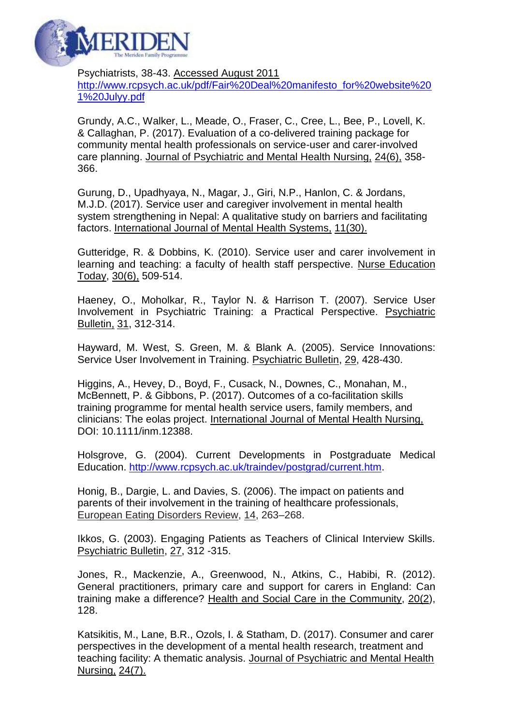

Psychiatrists, 38-43. Accessed August 2011 [http://www.rcpsych.ac.uk/pdf/Fair%20Deal%20manifesto\\_for%20website%20](http://www.rcpsych.ac.uk/pdf/Fair%20Deal%20manifesto_for%20website%201%20Julyy.pdf) [1%20Julyy.pdf](http://www.rcpsych.ac.uk/pdf/Fair%20Deal%20manifesto_for%20website%201%20Julyy.pdf)

Grundy, A.C., Walker, L., Meade, O., Fraser, C., Cree, L., Bee, P., Lovell, K. & Callaghan, P. (2017). Evaluation of a co-delivered training package for community mental health professionals on service-user and carer-involved care planning. Journal of Psychiatric and Mental Health Nursing, 24(6), 358- 366.

Gurung, D., Upadhyaya, N., Magar, J., Giri, N.P., Hanlon, C. & Jordans, M.J.D. (2017). Service user and caregiver involvement in mental health system strengthening in Nepal: A qualitative study on barriers and facilitating factors. International Journal of Mental Health Systems, 11(30).

Gutteridge, R. & Dobbins, K. (2010). Service user and carer involvement in learning and teaching: a faculty of health staff perspective. Nurse Education Today, 30(6), 509-514.

Haeney, O., Moholkar, R., Taylor N. & Harrison T. (2007). Service User Involvement in Psychiatric Training: a Practical Perspective. Psychiatric Bulletin, 31, 312-314.

Hayward, M. West, S. Green, M. & Blank A. (2005). Service Innovations: Service User Involvement in Training. Psychiatric Bulletin, 29, 428-430.

Higgins, A., Hevey, D., Boyd, F., Cusack, N., Downes, C., Monahan, M., McBennett, P. & Gibbons, P. (2017). Outcomes of a co-facilitation skills training programme for mental health service users, family members, and clinicians: The eolas project. International Journal of Mental Health Nursing, DOI: 10.1111/inm.12388.

Holsgrove, G. (2004). Current Developments in Postgraduate Medical Education. [http://www.rcpsych.ac.uk/traindev/postgrad/current.htm.](http://www.rcpsych.ac.uk/traindev/postgrad/current.htm)

Honig, B., Dargie, L. and Davies, S. (2006). The impact on patients and parents of their involvement in the training of healthcare professionals, European Eating Disorders Review, 14, 263–268.

Ikkos, G. (2003). Engaging Patients as Teachers of Clinical Interview Skills. Psychiatric Bulletin, 27, 312 -315.

Jones, R., Mackenzie, A., Greenwood, N., Atkins, C., Habibi, R. (2012). General practitioners, primary care and support for carers in England: Can training make a difference? Health and Social Care in the Community, 20(2), 128.

Katsikitis, M., Lane, B.R., Ozols, I. & Statham, D. (2017). Consumer and carer perspectives in the development of a mental health research, treatment and teaching facility: A thematic analysis. Journal of Psychiatric and Mental Health Nursing, 24(7).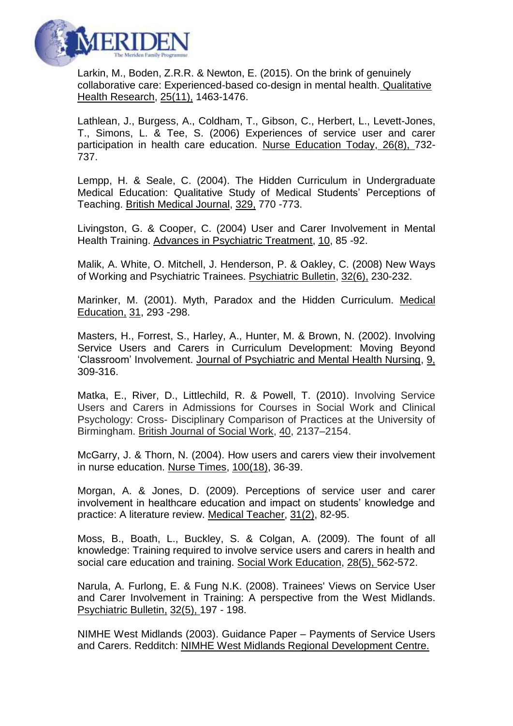

Larkin, M., Boden, Z.R.R. & Newton, E. (2015). On the brink of genuinely collaborative care: Experienced-based co-design in mental health. Qualitative Health Research, 25(11), 1463-1476.

Lathlean, J., Burgess, A., Coldham, T., Gibson, C., Herbert, L., Levett-Jones, T., Simons, L. & Tee, S. (2006) Experiences of service user and carer participation in health care education. Nurse Education Today, 26(8), 732- 737.

Lempp, H. & Seale, C. (2004). The Hidden Curriculum in Undergraduate Medical Education: Qualitative Study of Medical Students' Perceptions of Teaching. British Medical Journal, 329, 770 -773.

Livingston, G. & Cooper, C. (2004) User and Carer Involvement in Mental Health Training. Advances in Psychiatric Treatment, 10, 85 -92.

Malik, A. White, O. Mitchell, J. Henderson, P. & Oakley, C. (2008) New Ways of Working and Psychiatric Trainees. Psychiatric Bulletin, 32(6), 230-232.

Marinker, M. (2001). Myth, Paradox and the Hidden Curriculum. Medical Education, 31, 293 -298.

Masters, H., Forrest, S., Harley, A., Hunter, M. & Brown, N. (2002). Involving Service Users and Carers in Curriculum Development: Moving Beyond 'Classroom' Involvement. Journal of Psychiatric and Mental Health Nursing, 9, 309-316.

Matka, E., River, D., Littlechild, R. & Powell, T. (2010). Involving Service Users and Carers in Admissions for Courses in Social Work and Clinical Psychology: Cross- Disciplinary Comparison of Practices at the University of Birmingham. British Journal of Social Work, 40, 2137–2154.

McGarry, J. & Thorn, N. (2004). How users and carers view their involvement in nurse education. Nurse Times, 100(18), 36-39.

Morgan, A. & Jones, D. (2009). Perceptions of service user and carer involvement in healthcare education and impact on students' knowledge and practice: A literature review. Medical Teacher, 31(2), 82-95.

Moss, B., Boath, L., Buckley, S. & Colgan, A. (2009). The fount of all knowledge: Training required to involve service users and carers in health and social care education and training. Social Work Education, 28(5), 562-572.

Narula, A. Furlong, E. & Fung N.K. (2008). Trainees' Views on Service User and Carer Involvement in Training: A perspective from the West Midlands. Psychiatric Bulletin, 32(5), 197 - 198.

NIMHE West Midlands (2003). Guidance Paper – Payments of Service Users and Carers. Redditch: NIMHE West Midlands Regional Development Centre.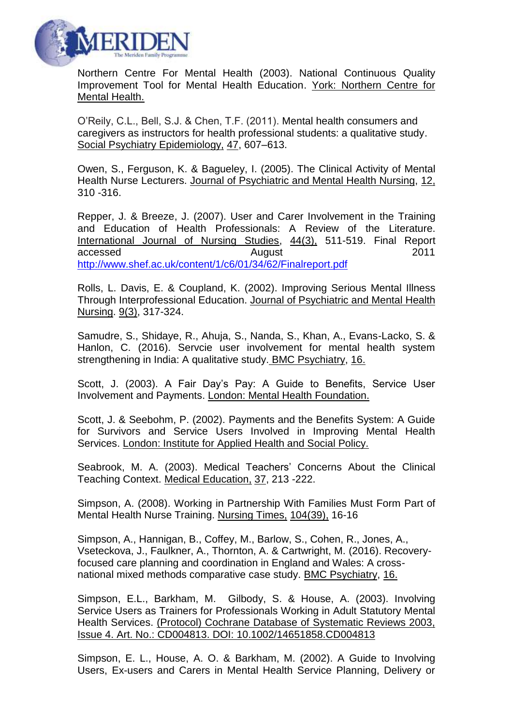

Northern Centre For Mental Health (2003). National Continuous Quality Improvement Tool for Mental Health Education. York: Northern Centre for Mental Health.

O'Reily, C.L., Bell, S.J. & Chen, T.F. (2011). Mental health consumers and caregivers as instructors for health professional students: a qualitative study. Social Psychiatry Epidemiology, 47, 607–613.

Owen, S., Ferguson, K. & Bagueley, I. (2005). The Clinical Activity of Mental Health Nurse Lecturers. Journal of Psychiatric and Mental Health Nursing, 12, 310 -316.

Repper, J. & Breeze, J. (2007). User and Carer Involvement in the Training and Education of Health Professionals: A Review of the Literature. International Journal of Nursing Studies, 44(3), 511-519. Final Report accessed and August 2011 <http://www.shef.ac.uk/content/1/c6/01/34/62/Finalreport.pdf>

Rolls, L. Davis, E. & Coupland, K. (2002). Improving Serious Mental Illness Through Interprofessional Education. Journal of Psychiatric and Mental Health Nursing. 9(3), 317-324.

Samudre, S., Shidaye, R., Ahuja, S., Nanda, S., Khan, A., Evans-Lacko, S. & Hanlon, C. (2016). Servcie user involvement for mental health system strengthening in India: A qualitative study. BMC Psychiatry, 16.

Scott, J. (2003). A Fair Day's Pay: A Guide to Benefits, Service User Involvement and Payments. London: Mental Health Foundation.

Scott, J. & Seebohm, P. (2002). Payments and the Benefits System: A Guide for Survivors and Service Users Involved in Improving Mental Health Services. London: Institute for Applied Health and Social Policy.

Seabrook, M. A. (2003). Medical Teachers' Concerns About the Clinical Teaching Context. Medical Education, 37, 213 -222.

Simpson, A. (2008). Working in Partnership With Families Must Form Part of Mental Health Nurse Training. Nursing Times, 104(39), 16-16

Simpson, A., Hannigan, B., Coffey, M., Barlow, S., Cohen, R., Jones, A., Vseteckova, J., Faulkner, A., Thornton, A. & Cartwright, M. (2016). Recoveryfocused care planning and coordination in England and Wales: A crossnational mixed methods comparative case study. BMC Psychiatry, 16.

Simpson, E.L., Barkham, M. Gilbody, S. & House, A. (2003). Involving Service Users as Trainers for Professionals Working in Adult Statutory Mental Health Services. (Protocol) Cochrane Database of Systematic Reviews 2003, Issue 4. Art. No.: CD004813. DOI: 10.1002/14651858.CD004813

Simpson, E. L., House, A. O. & Barkham, M. (2002). A Guide to Involving Users, Ex-users and Carers in Mental Health Service Planning, Delivery or